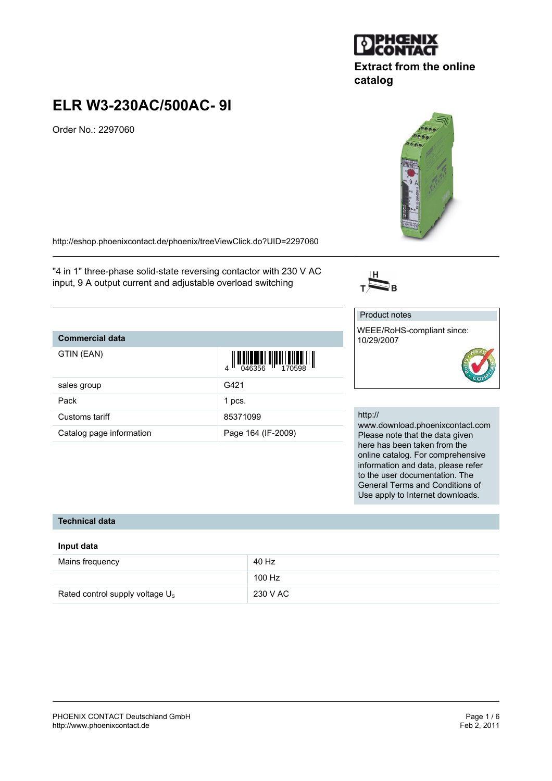

# **Extract from the online catalog**

# **ELR W3-230AC/500AC- 9I**

Order No.: 2297060

<http://eshop.phoenixcontact.de/phoenix/treeViewClick.do?UID=2297060>

"4 in 1" three-phase solid-state reversing contactor with 230 V AC input, 9 A output current and adjustable overload switching

## **Commercial data**

| GTIN (EAN)               | $\left\  \prod_{0.46356} \right\  \left\  \prod_{1.70598} \right\  \left\  \prod_{1.70598} \right\ $ |
|--------------------------|------------------------------------------------------------------------------------------------------|
| sales group              | G421                                                                                                 |
| Pack                     | 1 pcs.                                                                                               |
| Customs tariff           | 85371099                                                                                             |
| Catalog page information | Page 164 (IF-2009)                                                                                   |

# $\overline{\sum}_{B}$

Product notes

## WEEE/RoHS-compliant since: 10/29/2007

#### http://

www.download.phoenixcontact.com Please note that the data given here has been taken from the online catalog. For comprehensive information and data, please refer to the user documentation. The General Terms and Conditions of Use apply to Internet downloads.

#### **Technical data**

#### **Input data**

| Mains frequency                    | 40 Hz    |
|------------------------------------|----------|
|                                    | 100 Hz   |
| Rated control supply voltage $U_s$ | 230 V AC |

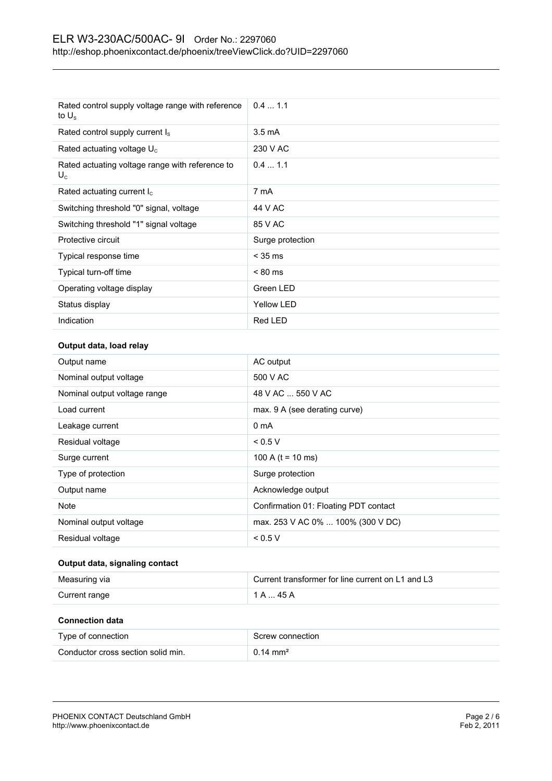| Rated control supply voltage range with reference<br>to $U_{\rm s}$ | 0.41.1            |
|---------------------------------------------------------------------|-------------------|
| Rated control supply current I <sub>s</sub>                         | $3.5 \text{ mA}$  |
| Rated actuating voltage $U_c$                                       | 230 V AC          |
| Rated actuating voltage range with reference to<br>$U_c$            | 0.41.1            |
| Rated actuating current $I_c$                                       | 7 mA              |
| Switching threshold "0" signal, voltage                             | 44 V AC           |
| Switching threshold "1" signal voltage                              | 85 V AC           |
| Protective circuit                                                  | Surge protection  |
| Typical response time                                               | $<$ 35 ms         |
| Typical turn-off time                                               | $< 80$ ms         |
| Operating voltage display                                           | Green LED         |
| Status display                                                      | <b>Yellow LED</b> |
| Indication                                                          | Red LED           |

#### **Output data, load relay**

| Output name                  | AC output                             |
|------------------------------|---------------------------------------|
| Nominal output voltage       | 500 V AC                              |
| Nominal output voltage range | 48 V AC  550 V AC                     |
| Load current                 | max. 9 A (see derating curve)         |
| Leakage current              | 0 <sub>m</sub> A                      |
| Residual voltage             | < 0.5 V                               |
| Surge current                | 100 A ( $t = 10$ ms)                  |
| Type of protection           | Surge protection                      |
| Output name                  | Acknowledge output                    |
| <b>Note</b>                  | Confirmation 01: Floating PDT contact |
| Nominal output voltage       | max. 253 V AC 0%  100% (300 V DC)     |
| Residual voltage             | < 0.5 V                               |

#### **Output data, signaling contact**

| Measuring via | Current transformer for line current on L1 and L3 |
|---------------|---------------------------------------------------|
| Current range | 1 A  45 A                                         |

#### **Connection data**

| Type of connection                 | Screw connection    |
|------------------------------------|---------------------|
| Conductor cross section solid min. | $0.14 \text{ mm}^2$ |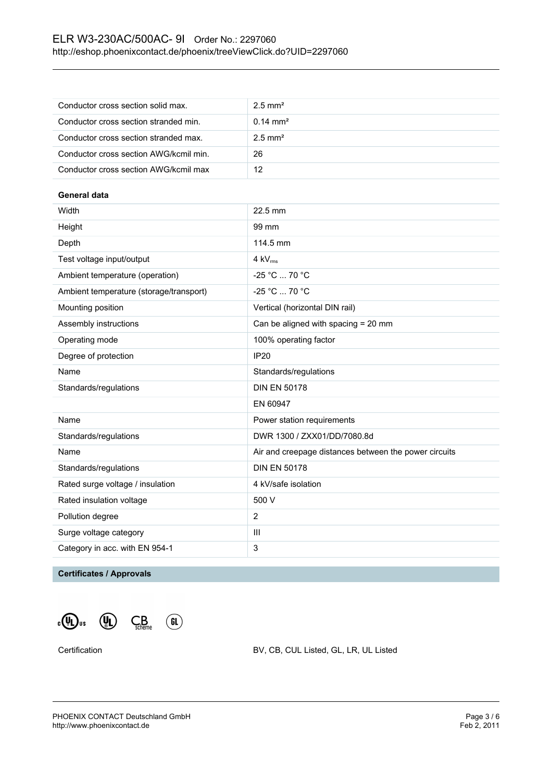| Conductor cross section solid max.     | $2.5$ mm <sup>2</sup> |
|----------------------------------------|-----------------------|
| Conductor cross section stranded min.  | $0.14 \text{ mm}^2$   |
| Conductor cross section stranded max.  | $2.5$ mm <sup>2</sup> |
| Conductor cross section AWG/kcmil min. | 26                    |
| Conductor cross section AWG/kcmil max  | 12                    |

#### **General data**

| Height<br>99 mm<br>Depth<br>114.5 mm<br>Test voltage input/output<br>$4$ kV $_{rms}$<br>-25 °C  70 °C<br>Ambient temperature (operation)<br>$-25 °C  70 °C$<br>Ambient temperature (storage/transport)<br>Mounting position<br>Vertical (horizontal DIN rail)<br>Assembly instructions<br>Can be aligned with spacing = 20 mm<br>Operating mode<br>100% operating factor<br>Degree of protection<br><b>IP20</b><br>Name<br>Standards/regulations<br><b>DIN EN 50178</b><br>Standards/regulations<br>EN 60947<br>Name<br>Power station requirements<br>DWR 1300 / ZXX01/DD/7080.8d<br>Standards/regulations<br>Name<br>Air and creepage distances between the power circuits<br><b>DIN EN 50178</b><br>Standards/regulations<br>Rated surge voltage / insulation<br>4 kV/safe isolation<br>Rated insulation voltage<br>500 V<br>$\overline{2}$<br>Pollution degree<br>Surge voltage category<br>$\mathbf{III}$<br>3<br>Category in acc. with EN 954-1 | Width | 22.5 mm |
|------------------------------------------------------------------------------------------------------------------------------------------------------------------------------------------------------------------------------------------------------------------------------------------------------------------------------------------------------------------------------------------------------------------------------------------------------------------------------------------------------------------------------------------------------------------------------------------------------------------------------------------------------------------------------------------------------------------------------------------------------------------------------------------------------------------------------------------------------------------------------------------------------------------------------------------------------|-------|---------|
|                                                                                                                                                                                                                                                                                                                                                                                                                                                                                                                                                                                                                                                                                                                                                                                                                                                                                                                                                      |       |         |
|                                                                                                                                                                                                                                                                                                                                                                                                                                                                                                                                                                                                                                                                                                                                                                                                                                                                                                                                                      |       |         |
|                                                                                                                                                                                                                                                                                                                                                                                                                                                                                                                                                                                                                                                                                                                                                                                                                                                                                                                                                      |       |         |
|                                                                                                                                                                                                                                                                                                                                                                                                                                                                                                                                                                                                                                                                                                                                                                                                                                                                                                                                                      |       |         |
|                                                                                                                                                                                                                                                                                                                                                                                                                                                                                                                                                                                                                                                                                                                                                                                                                                                                                                                                                      |       |         |
|                                                                                                                                                                                                                                                                                                                                                                                                                                                                                                                                                                                                                                                                                                                                                                                                                                                                                                                                                      |       |         |
|                                                                                                                                                                                                                                                                                                                                                                                                                                                                                                                                                                                                                                                                                                                                                                                                                                                                                                                                                      |       |         |
|                                                                                                                                                                                                                                                                                                                                                                                                                                                                                                                                                                                                                                                                                                                                                                                                                                                                                                                                                      |       |         |
|                                                                                                                                                                                                                                                                                                                                                                                                                                                                                                                                                                                                                                                                                                                                                                                                                                                                                                                                                      |       |         |
|                                                                                                                                                                                                                                                                                                                                                                                                                                                                                                                                                                                                                                                                                                                                                                                                                                                                                                                                                      |       |         |
|                                                                                                                                                                                                                                                                                                                                                                                                                                                                                                                                                                                                                                                                                                                                                                                                                                                                                                                                                      |       |         |
|                                                                                                                                                                                                                                                                                                                                                                                                                                                                                                                                                                                                                                                                                                                                                                                                                                                                                                                                                      |       |         |
|                                                                                                                                                                                                                                                                                                                                                                                                                                                                                                                                                                                                                                                                                                                                                                                                                                                                                                                                                      |       |         |
|                                                                                                                                                                                                                                                                                                                                                                                                                                                                                                                                                                                                                                                                                                                                                                                                                                                                                                                                                      |       |         |
|                                                                                                                                                                                                                                                                                                                                                                                                                                                                                                                                                                                                                                                                                                                                                                                                                                                                                                                                                      |       |         |
|                                                                                                                                                                                                                                                                                                                                                                                                                                                                                                                                                                                                                                                                                                                                                                                                                                                                                                                                                      |       |         |
|                                                                                                                                                                                                                                                                                                                                                                                                                                                                                                                                                                                                                                                                                                                                                                                                                                                                                                                                                      |       |         |
|                                                                                                                                                                                                                                                                                                                                                                                                                                                                                                                                                                                                                                                                                                                                                                                                                                                                                                                                                      |       |         |
|                                                                                                                                                                                                                                                                                                                                                                                                                                                                                                                                                                                                                                                                                                                                                                                                                                                                                                                                                      |       |         |
|                                                                                                                                                                                                                                                                                                                                                                                                                                                                                                                                                                                                                                                                                                                                                                                                                                                                                                                                                      |       |         |
|                                                                                                                                                                                                                                                                                                                                                                                                                                                                                                                                                                                                                                                                                                                                                                                                                                                                                                                                                      |       |         |

#### **Certificates / Approvals**



Certification BV, CB, CUL Listed, GL, LR, UL Listed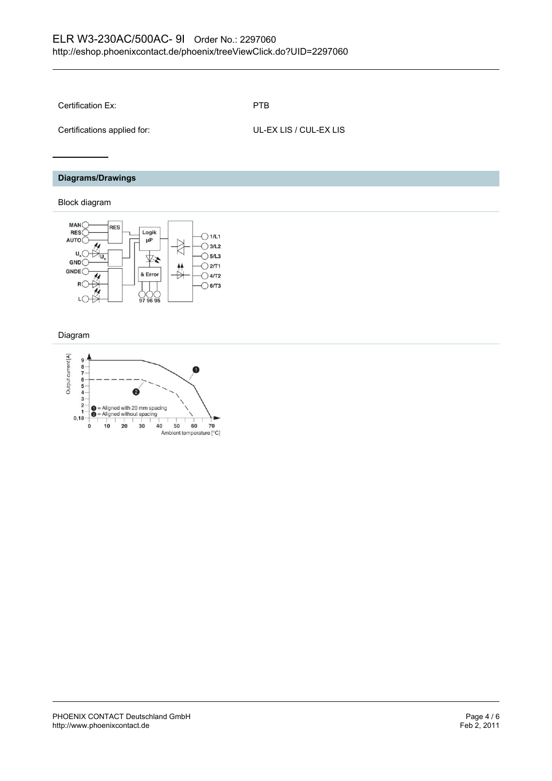Certification Ex: PTB

Certifications applied for: UL-EX LIS / CUL-EX LIS

**Diagrams/Drawings**

#### Block diagram



#### Diagram

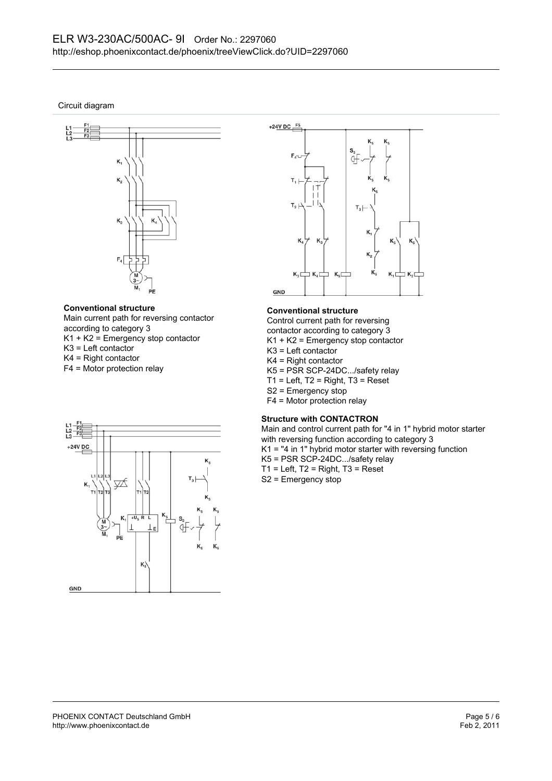Circuit diagram



#### **Conventional structure**

Main current path for reversing contactor according to category 3 K1 + K2 = Emergency stop contactor K3 = Left contactor K4 = Right contactor

F4 = Motor protection relay



#### **Conventional structure**

Control current path for reversing contactor according to category 3

- K1 + K2 = Emergency stop contactor
- K3 = Left contactor
- K4 = Right contactor
- K5 = PSR SCP-24DC.../safety relay
- $T1$  = Left,  $T2$  = Right,  $T3$  = Reset
- S2 = Emergency stop
- F4 = Motor protection relay

#### **Structure with CONTACTRON**

Main and control current path for "4 in 1" hybrid motor starter with reversing function according to category 3 K1 = "4 in 1" hybrid motor starter with reversing function K5 = PSR SCP-24DC.../safety relay  $T1$  = Left,  $T2$  = Right,  $T3$  = Reset S2 = Emergency stop